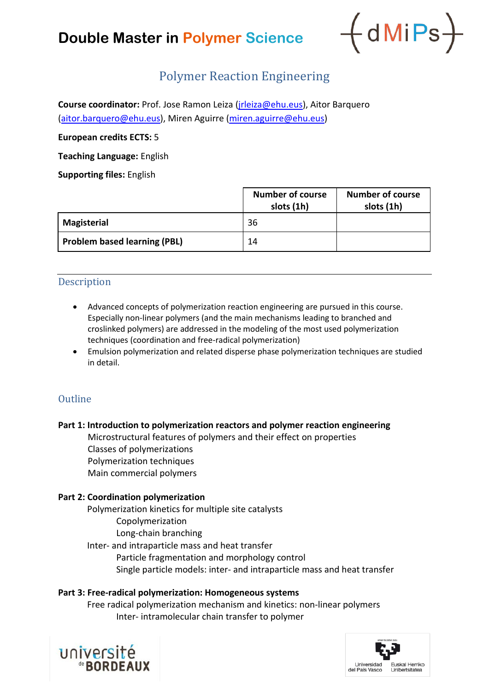# **Double Master in Polymer Science**



# Polymer Reaction Engineering

**Course coordinator:** Prof. Jose Ramon Leiza [\(jrleiza@ehu.eus\)](mailto:jrleiza@ehu.eus), Aitor Barquero [\(aitor.barquero@ehu.eus\)](mailto:aitor.barquero@ehu.eus), Miren Aguirre [\(miren.aguirre@ehu.eus\)](mailto:miren.aguirre@ehu.eus)

#### **European credits ECTS:** 5

**Teaching Language:** English

**Supporting files:** English

|                                     | <b>Number of course</b><br>slots (1h) | <b>Number of course</b><br>slots (1h) |
|-------------------------------------|---------------------------------------|---------------------------------------|
| <b>Magisterial</b>                  | 36                                    |                                       |
| <b>Problem based learning (PBL)</b> | 14                                    |                                       |

## Description

- Advanced concepts of polymerization reaction engineering are pursued in this course. Especially non-linear polymers (and the main mechanisms leading to branched and croslinked polymers) are addressed in the modeling of the most used polymerization techniques (coordination and free-radical polymerization)
- Emulsion polymerization and related disperse phase polymerization techniques are studied in detail.

## **Outline**

## **Part 1: Introduction to polymerization reactors and polymer reaction engineering**

Microstructural features of polymers and their effect on properties Classes of polymerizations Polymerization techniques Main commercial polymers

#### **Part 2: Coordination polymerization**

Polymerization kinetics for multiple site catalysts Copolymerization Long-chain branching Inter- and intraparticle mass and heat transfer Particle fragmentation and morphology control Single particle models: inter- and intraparticle mass and heat transfer

#### **Part 3: Free-radical polymerization: Homogeneous systems**

Free radical polymerization mechanism and kinetics: non-linear polymers Inter- intramolecular chain transfer to polymer